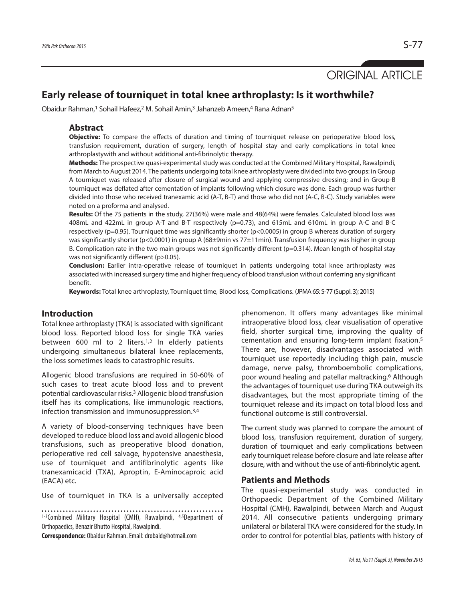# ORIGINAL ARTICLE

## **Early release of tourniquet in total knee arthroplasty: Is it worthwhile?**

Obaidur Rahman,<sup>1</sup> Sohail Hafeez,<sup>2</sup> M. Sohail Amin,<sup>3</sup> Jahanzeb Ameen,<sup>4</sup> Rana Adnan<sup>5</sup>

#### **Abstract**

**Objective:** To compare the effects of duration and timing of tourniquet release on perioperative blood loss, transfusion requirement, duration of surgery, length of hospital stay and early complications in total knee arthroplastywith and without additional anti-fibrinolytic therapy.

**Methods:** The prospective quasi-experimental study was conducted at the Combined Military Hospital, Rawalpindi, from March to August 2014. The patients undergoing total knee arthroplasty were divided into two groups: in Group A tourniquet was released after closure of surgical wound and applying compressive dressing; and in Group-B tourniquet was deflated after cementation of implants following which closure was done. Each group was further divided into those who received tranexamic acid (A-T, B-T) and those who did not (A-C, B-C). Study variables were noted on a proforma and analysed.

**Results:** Of the 75 patients in the study, 27(36%) were male and 48(64%) were females. Calculated blood loss was 408mL and 422mL in group A-T and B-T respectively (p=0.73), and 615mL and 610mL in group A-C and B-C respectively (p=0.95). Tourniquet time was significantly shorter (p<0.0005) in group B whereas duration of surgery was significantly shorter (p<0.0001) in group A (68±9min vs 77±11min). Transfusion frequency was higher in group B. Complication rate in the two main groups was not significantly different (p=0.314). Mean length of hospital stay was not significantly different (p>0.05).

**Conclusion:** Earlier intra-operative release of tourniquet in patients undergoing total knee arthroplasty was associated with increased surgery time and higher frequency of blood transfusion without conferring any significant benefit.

**Keywords:** Total knee arthroplasty, Tourniquet time, Blood loss, Complications. (JPMA65: S-77 (Suppl. 3); 2015)

### **Introduction**

Total knee arthroplasty (TKA) is associated with significant blood loss. Reported blood loss for single TKA varies between 600 ml to 2 liters.<sup>1,2</sup> In elderly patients undergoing simultaneous bilateral knee replacements, the loss sometimes leads to catastrophic results.

Allogenic blood transfusions are required in 50-60% of such cases to treat acute blood loss and to prevent potential cardiovascular risks. <sup>3</sup> Allogenic blood transfusion itself has its complications, like immunologic reactions, infection transmission and immunosuppression. 3,4

A variety of blood-conserving techniques have been developed to reduce blood loss and avoid allogenic blood transfusions, such as preoperative blood donation, perioperative red cell salvage, hypotensive anaesthesia, use of tourniquet and antifibrinolytic agents like tranexamicacid (TXA), Aproptin, E-Aminocaproic acid (EACA) etc.

Use of tourniquet in TKA is a universally accepted

1-3Combined Military Hospital (CMH), Rawalpindi, 4,5Department of

Orthopaedics, Benazir Bhutto Hospital, Rawalpindi.

**Correspondence:** Obaidur Rahman.Email:drobaid@hotmail.com

phenomenon. It offers many advantages like minimal intraoperative blood loss, clear visualisation of operative field, shorter surgical time, improving the quality of cementation and ensuring long-term implant fixation. 5 There are, however, disadvantages associated with tourniquet use reportedly including thigh pain, muscle damage, nerve palsy, thromboembolic complications, poor wound healing and patellar maltracking. <sup>6</sup> Although the advantages of tourniquet use during TKA outweigh its disadvantages, but the most appropriate timing of the tourniquet release and its impact on total blood loss and functional outcome is still controversial.

The current study was planned to compare the amount of blood loss, transfusion requirement, duration of surgery, duration of tourniquet and early complications between early tourniquet release before closure and late release after closure, with and without the use of anti-fibrinolytic agent.

#### **Patients and Methods**

The quasi-experimental study was conducted in Orthopaedic Department of the Combined Military Hospital (CMH), Rawalpindi, between March and August 2014. All consecutive patients undergoing primary unilateral or bilateral TKA were considered for the study. In order to control for potential bias, patients with history of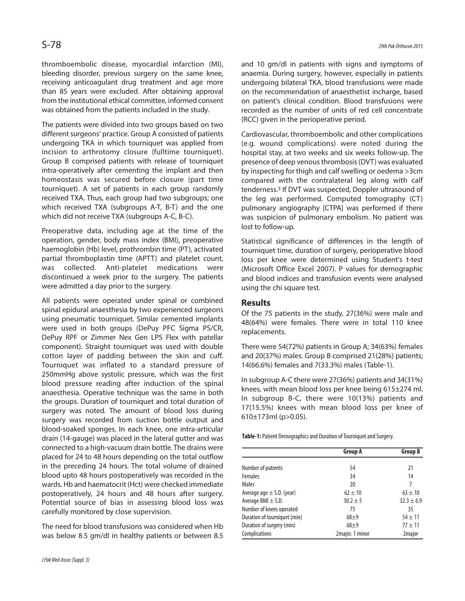thromboembolic disease, myocardial infarction (MI), bleeding disorder, previous surgery on the same knee, receiving anticoagulant drug treatment and age more than 85 years were excluded. After obtaining approval from the institutional ethical committee, informed consent was obtained from the patients included in the study.

The patients were divided into two groups based on two different surgeons' practice. Group A consisted of patients undergoing TKA in which tourniquet was applied from incision to arthrotomy closure (fulltime tourniquet). Group B comprised patients with release of tourniquet intra-operatively after cementing the implant and then homeostasis was secured before closure (part time tourniquet). A set of patients in each group randomly received TXA. Thus, each group had two subgroups; one which received TXA (subgroups A-T, B-T) and the one which did not receive TXA (subgroups A-C, B-C).

Preoperative data, including age at the time of the operation, gender, body mass index (BMI), preoperative haemoglobin (Hb) level, prothrombin time (PT), activated partial thromboplastin time (APTT) and platelet count, was collected. Anti-platelet medications were discontinued a week prior to the surgery. The patients were admitted a day prior to the surgery.

All patients were operated under spinal or combined spinal epidural anaesthesia by two experienced surgeons using pneumatic tourniquet. Similar cemented implants were used in both groups (DePuy PFC Sigma PS/CR, DePuy RPF or Zimmer Nex Gen LPS Flex with patellar component). Straight tourniquet was used with double cotton layer of padding between the skin and cuff. Tourniquet was inflated to a standard pressure of 250mmHg above systolic pressure, which was the first blood pressure reading after induction of the spinal anaesthesia. Operative technique was the same in both the groups. Duration of tourniquet and total duration of surgery was noted. The amount of blood loss during surgery was recorded from suction bottle output and blood-soaked sponges. In each knee, one intra-articular drain (14-gauge) was placed in the lateral gutter and was connected to a high-vacuum drain bottle. The drains were placed for 24 to 48 hours depending on the total outflow in the preceding 24 hours. The total volume of drained blood upto 48 hours postoperatively was recorded in the wards. Hb and haematocrit (Hct) were checked immediate postoperatively, 24 hours and 48 hours after surgery. Potential source of bias in assessing blood loss was carefully monitored by close supervision.

The need for blood transfusions was considered when Hb was below 8.5 gm/dl in healthy patients or between 8.5

and 10 gm/dl in patients with signs and symptoms of anaemia. During surgery, however, especially in patients undergoing bilateral TKA, blood transfusions were made on the recommendation of anaesthetist incharge, based on patient's clinical condition. Blood transfusions were recorded as the number of units of red cell concentrate (RCC) given in the perioperative period.

Cardiovascular, thromboembolic and other complications (e.g. wound complications) were noted during the hospital stay, at two weeks and six weeks follow-up. The presence of deep venous thrombosis (DVT) was evaluated by inspecting for thigh and calf swelling or oedema >3cm compared with the contralateral leg along with calf tenderness. <sup>3</sup> If DVT was suspected, Doppler ultrasound of the leg was performed. Computed tomography (CT) pulmonary angiography [CTPA] was performed if there was suspicion of pulmonary embolism. No patient was lost to follow-up.

Statistical significance of differences in the length of tourniquet time, duration of surgery, perioperative blood loss per knee were determined using Student's t-test (Microsoft Office Excel 2007). P values for demographic and blood indices and transfusion events were analysed using the chi square test.

#### **Results**

Of the 75 patients in the study, 27(36%) were male and 48(64%) were females. There were in total 110 knee replacements.

There were 54(72%) patients in Group A; 34(63%) females and 20(37%) males. Group B comprised 21(28%) patients; 14(66.6%) females and 7(33.3%) males (Table-1).

In subgroup A-C there were 27(36%) patients and 34(31%) knees, with mean blood loss per knee being 615±274 ml. In subgroup B-C, there were 10(13%) patients and 17(15.5%) knees with mean blood loss per knee of 610±173ml (p>0.05).

**Table-1:** Patient Demographics and Duration of Tourniquet and Surgery.

|                               | <b>Group A</b>  | <b>Group B</b>     |
|-------------------------------|-----------------|--------------------|
| Number of patients            | 54              | 21                 |
| <b>Females</b>                | 34              | 14                 |
| <b>Males</b>                  | 20              | 7                  |
| Average age $\pm$ S.D. (year) | $62 \pm 10$     | $63 \pm 10$        |
| Average BMI $\pm$ S.D.        | $30.2 \pm 5$    | $32.3 \pm 6.9$     |
| Number of knees operated      | 75              | 35                 |
| Duration of tourniquet (min)  | $68 + 9$        | $54 \pm 11$        |
| Duration of surgery (min)     | $68 + 9$        | $77 + 11$          |
| Complications                 | 2major. 1 minor | 2 <sub>major</sub> |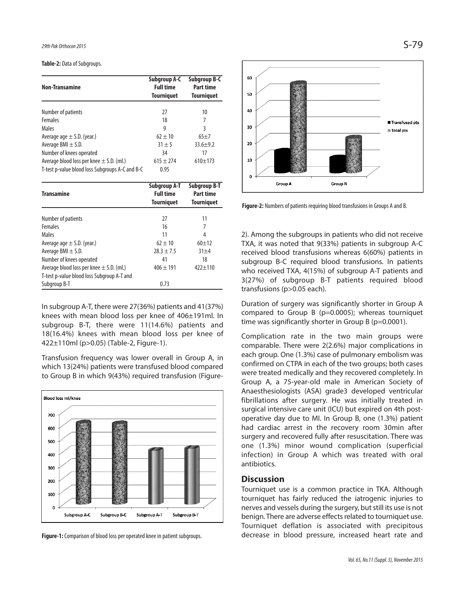**Table-2: Data of Subgroups.** 

| <b>Non-Transamine</b>                                                                           | Subgroup A-C<br><b>Full time</b><br><b>Tourniquet</b> | <b>Subgroup B-C</b><br>Part time<br><b>Tourniquet</b> |
|-------------------------------------------------------------------------------------------------|-------------------------------------------------------|-------------------------------------------------------|
| Number of patients                                                                              | 27                                                    | 10                                                    |
| <b>Females</b>                                                                                  | 18                                                    | 7                                                     |
| Males                                                                                           | 9                                                     | 3                                                     |
| Average age $\pm$ S.D. (year.)                                                                  | $62 \pm 10$                                           | $65+7$                                                |
| Average BMI $\pm$ S.D.                                                                          | $31 + 5$                                              | $33.6 + 9.2$                                          |
| Number of knees operated                                                                        | 34                                                    | 17                                                    |
| Average blood loss per knee $\pm$ S.D. (ml.)<br>T-test p-value blood loss Subgroups A-C and B-C | $615 \pm 274$<br>0.95                                 | $610+173$                                             |

| <b>Transamine</b>                            | <b>Subgroup A-T</b><br><b>Full time</b><br><b>Tourniquet</b> | <b>Subgroup B-T</b><br>Part time<br><b>Tourniquet</b> |
|----------------------------------------------|--------------------------------------------------------------|-------------------------------------------------------|
|                                              |                                                              |                                                       |
| Number of patients                           | 27                                                           | 11                                                    |
| <b>Females</b>                               | 16                                                           | 7                                                     |
| Males                                        | 11                                                           | 4                                                     |
| Average age $\pm$ S.D. (year.)               | $62 \pm 10$                                                  | $60 + 12$                                             |
| Average BMI $\pm$ S.D.                       | $28.3 \pm 7.5$                                               | $31 + 4$                                              |
| Number of knees operated                     | 41                                                           | 18                                                    |
| Average blood loss per knee $\pm$ S.D. (ml.) | $406 \pm 191$                                                | $422 + 110$                                           |
| T-test p-value blood loss Subgroup A-T and   |                                                              |                                                       |
| Subgroup B-T                                 | 0.73                                                         |                                                       |

In subgroup A-T, there were 27(36%) patients and 41(37%) knees with mean blood loss per knee of 406±191ml. In subgroup B-T, there were 11(14.6%) patients and 18(16.4%) knees with mean blood loss per knee of 422±110ml (p>0.05) (Table-2, Figure-1).

Transfusion frequency was lower overall in Group A, in which 13(24%) patients were transfused blood compared to Group B in which 9(43%) required transfusion (Figure-



Figure-1: Comparison of blood loss per operated knee in patient subgroups.



**Figure-2:** Numbers of patients requiring blood transfusions in Groups A and B.

2). Among the subgroups in patients who did not receive TXA, it was noted that 9(33%) patients in subgroup A-C received blood transfusions whereas 6(60%) patients in subgroup B-C required blood transfusions. In patients who received TXA, 4(15%) of subgroup A-T patients and 3(27%) of subgroup B-T patients required blood transfusions (p>0.05 each).

Duration of surgery was significantly shorter in Group A compared to Group B (p=0.0005); whereas tourniquet time was significantly shorter in Group B (p=0.0001).

Complication rate in the two main groups were comparable. There were 2(2.6%) major complications in each group. One (1.3%) case of pulmonary embolism was confirmed on CTPA in each of the two groups; both cases were treated medically and they recovered completely. In Group A, a 75-year-old male in American Society of Anaesthesiologists (ASA) grade3 developed ventricular fibrillations after surgery. He was initially treated in surgical intensive care unit (ICU) but expired on 4th postoperative day due to MI. In Group B, one (1.3%) patient had cardiac arrest in the recovery room 30min after surgery and recovered fully after resuscitation. There was one (1.3%) minor wound complication (superficial infection) in Group A which was treated with oral antibiotics.

#### **Discussion**

Tourniquet use is a common practice in TKA. Although tourniquet has fairly reduced the iatrogenic injuries to nerves and vessels during the surgery, but still its use is not benign. There are adverse effects related to tourniquet use. Tourniquet deflation is associated with precipitous decrease in blood pressure, increased heart rate and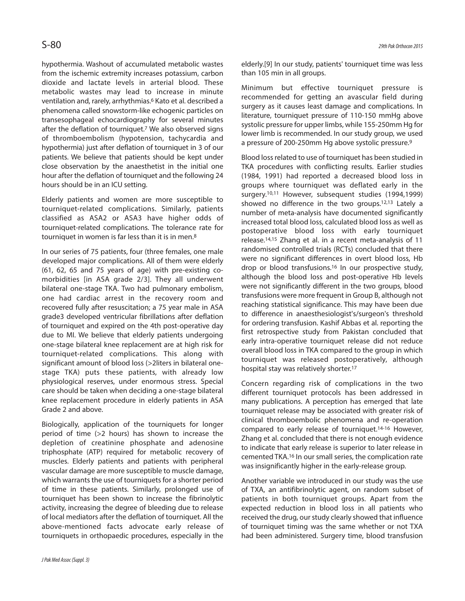hypothermia. Washout of accumulated metabolic wastes from the ischemic extremity increases potassium, carbon dioxide and lactate levels in arterial blood. These metabolic wastes may lead to increase in minute ventilation and, rarely, arrhythmias. <sup>6</sup> Kato et al. described a phenomena called snowstorm-like echogenic particles on transesophageal echocardiography for several minutes after the deflation of tourniquet. <sup>7</sup> We also observed signs of thromboembolism (hypotension, tachycardia and hypothermia) just after deflation of tourniquet in 3 of our patients. We believe that patients should be kept under close observation by the anaesthetist in the initial one hour after the deflation of tourniquet and the following 24 hours should be in an ICU setting.

Elderly patients and women are more susceptible to tourniquet-related complications. Similarly, patients classified as ASA2 or ASA3 have higher odds of tourniquet-related complications. The tolerance rate for tourniquet in women is far less than it is in men.<sup>8</sup>

In our series of 75 patients, four (three females, one male developed major complications. All of them were elderly (61, 62, 65 and 75 years of age) with pre-existing comorbidities [in ASA grade 2/3]. They all underwent bilateral one-stage TKA. Two had pulmonary embolism, one had cardiac arrest in the recovery room and recovered fully after resuscitation; a 75 year male in ASA grade3 developed ventricular fibrillations after deflation of tourniquet and expired on the 4th post-operative day due to MI. We believe that elderly patients undergoing one-stage bilateral knee replacement are at high risk for tourniquet-related complications. This along with significant amount of blood loss (>2liters in bilateral onestage TKA) puts these patients, with already low physiological reserves, under enormous stress. Special care should be taken when deciding a one-stage bilateral knee replacement procedure in elderly patients in ASA Grade 2 and above.

Biologically, application of the tourniquets for longer period of time (>2 hours) has shown to increase the depletion of creatinine phosphate and adenosine triphosphate (ATP) required for metabolic recovery of muscles. Elderly patients and patients with peripheral vascular damage are more susceptible to muscle damage, which warrants the use of tourniquets for a shorter period of time in these patients. Similarly, prolonged use of tourniquet has been shown to increase the fibrinolytic activity, increasing the degree of bleeding due to release of local mediators after the deflation of tourniquet. All the above-mentioned facts advocate early release of tourniquets in orthopaedic procedures, especially in the elderly.[9] In our study, patients' tourniquet time was less than 105 min in all groups.

Minimum but effective tourniquet pressure is recommended for getting an avascular field during surgery as it causes least damage and complications. In literature, tourniquet pressure of 110-150 mmHg above systolic pressure for upper limbs, while 155-250mm Hg for lower limb is recommended. In our study group, we used a pressure of 200-250mm Hg above systolic pressure. 9

Blood lossrelated to use of tourniquet has been studied in TKA procedures with conflicting results. Earlier studies (1984, 1991) had reported a decreased blood loss in groups where tourniquet was deflated early in the surgery. 10,11 However, subsequent studies (1994,1999) showed no difference in the two groups. 12,13 Lately a number of meta-analysis have documented significantly increased total blood loss, calculated blood loss as well as postoperative blood loss with early tourniquet release. 14,15 Zhang et al. in a recent meta-analysis of 11 randomised controlled trials (RCTs) concluded that there were no significant differences in overt blood loss, Hb drop or blood transfusions. <sup>16</sup> In our prospective study, although the blood loss and post-operative Hb levels were not significantly different in the two groups, blood transfusions were more frequent in Group B, although not reaching statistical significance. This may have been due to difference in anaesthesiologist's/surgeon's threshold for ordering transfusion. Kashif Abbas et al. reporting the first retrospective study from Pakistan concluded that early intra-operative tourniquet release did not reduce overall blood loss in TKA compared to the group in which tourniquet was released postoperatively, although hospital stay was relatively shorter. 17

Concern regarding risk of complications in the two different tourniquet protocols has been addressed in many publications. A perception has emerged that late tourniquet release may be associated with greater risk of clinical thromboembolic phenomena and re-operation compared to early release of tourniquet. 14-16 However, Zhang et al. concluded that there is not enough evidence to indicate that early release is superior to later release in cemented TKA. <sup>16</sup> In our small series, the complication rate was insignificantly higher in the early-release group.

Another variable we introduced in our study was the use of TXA, an antifibrinolytic agent, on random subset of patients in both tourniquet groups. Apart from the expected reduction in blood loss in all patients who received the drug, our study clearly showed that influence of tourniquet timing was the same whether or not TXA had been administered. Surgery time, blood transfusion